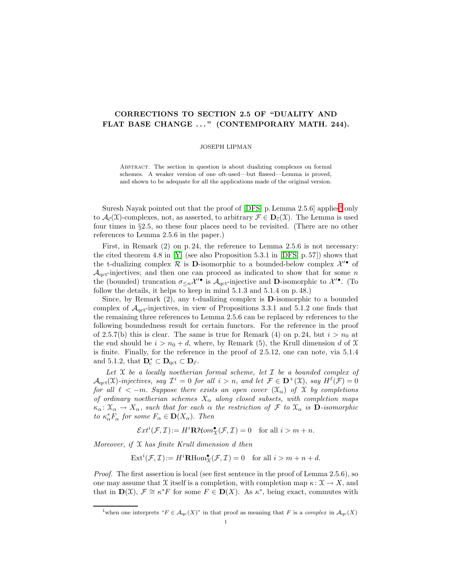## CORRECTIONS TO SECTION 2.5 OF "DUALITY AND FLAT BASE CHANGE ..." (CONTEMPORARY MATH. 244).

## JOSEPH LIPMAN

Abstract. The section in question is about dualizing complexes on formal schemes. A weaker version of one oft-used—but flawed—Lemma is proved, and shown to be adequate for all the applications made of the original version.

Suresh Nayak pointed out that the proof of  $[DFS, p. Lemma 2.5.6]$  applies<sup>[1](#page-0-0)</sup> only to  $\mathcal{A}_{\vec{c}}(\mathfrak{X})$ -complexes, not, as asserted, to arbitrary  $\mathcal{F} \in \mathbf{D}_{\vec{c}}(\mathfrak{X})$ . The Lemma is used four times in §2.5, so these four places need to be revisited. (There are no other references to Lemma 2.5.6 in the paper.)

First, in Remark (2) on p. 24, the reference to Lemma 2.5.6 is not necessary: the cited theorem 4.8 in [\[Y\]](#page-1-1) (see also Proposition 5.3.1 in [\[DFS,](#page-1-0) p. 57]) shows that the t-dualizing complex  $\mathcal R$  is D-isomorphic to a bounded-below complex  $\mathcal X'^{\bullet}$  of  $\mathcal{A}_{\text{act}}$ -injectives; and then one can proceed as indicated to show that for some n the (bounded) truncation  $\sigma_{\leq n} \mathcal{X}'^{\bullet}$  is  $\mathcal{A}_{\text{qct}}$ -injective and **D**-isomorphic to  $\mathcal{X}'^{\bullet}$ . (To follow the details, it helps to keep in mind 5.1.3 and 5.1.4 on p. 48.)

Since, by Remark  $(2)$ , any t-dualizing complex is **D**-isomorphic to a bounded complex of  $A<sub>qct</sub>$ -injectives, in view of Propositions 3.3.1 and 5.1.2 one finds that the remaining three references to Lemma 2.5.6 can be replaced by references to the following boundedness result for certain functors. For the reference in the proof of 2.5.7(b) this is clear. The same is true for Remark (4) on p. 24, but  $i > n_0$  at the end should be  $i > n_0 + d$ , where, by Remark (5), the Krull dimension d of X is finite. Finally, for the reference in the proof of 2.5.12, one can note, via 5.1.4 and 5.1.2, that  $\mathbf{D}_{c}^{*} \subset \mathbf{D}_{qct} \subset \mathbf{D}_{\vec{c}}$ .

Let  $\mathfrak X$  be a locally noetherian formal scheme, let  $\mathcal I$  be a bounded complex of  $\mathcal{A}_{\text{qct}}(\mathfrak{X})$ -injectives, say  $\mathcal{I}^i = 0$  for all  $i > n$ , and let  $\mathcal{F} \in \mathbf{D}^+(\mathfrak{X})$ , say  $H^{\ell}(\mathcal{F}) = 0$ for all  $\ell < -m$ . Suppose there exists an open cover  $(\mathfrak{X}_{\alpha})$  of X by completions of ordinary noetherian schemes  $X_{\alpha}$  along closed subsets, with completion maps  $\kappa_\alpha: \mathfrak{X}_\alpha \to X_\alpha$ , such that for each  $\alpha$  the restriction of  $\mathcal F$  to  $\mathfrak{X}_\alpha$  is **D**-isomorphic to  $\kappa_{\alpha}^{*}F_{\alpha}$  for some  $F_{\alpha} \in \mathbf{D}(X_{\alpha})$ . Then

$$
\mathcal{E}xt^{i}(\mathcal{F},\mathcal{I}) := H^{i}\mathbf{R}\mathcal{H}om_{\mathcal{X}}^{\bullet}(\mathcal{F},\mathcal{I}) = 0 \quad \text{for all } i > m+n.
$$

Moreover, if  $X$  has finite Krull dimension  $d$  then

 $\text{Ext}^i(\mathcal{F}, \mathcal{I}) := H^i \mathbf{R} \text{Hom}^{\bullet}_{\mathcal{X}}(\mathcal{F}, \mathcal{I}) = 0 \text{ for all } i > m + n + d.$ 

Proof. The first assertion is local (see first sentence in the proof of Lemma 2.5.6), so one may assume that X itself is a completion, with completion map  $\kappa: \mathcal{X} \to X$ , and that in  $\mathbf{D}(\mathfrak{X}), \mathcal{F} \cong \kappa^* F$  for some  $F \in \mathbf{D}(X)$ . As  $\kappa^*$ , being exact, commutes with

<span id="page-0-0"></span><sup>&</sup>lt;sup>1</sup>when one interprets " $F \in \mathcal{A}_{\text{qc}}(X)$ " in that proof as meaning that F is a complex in  $\mathcal{A}_{\text{qc}}(X)$